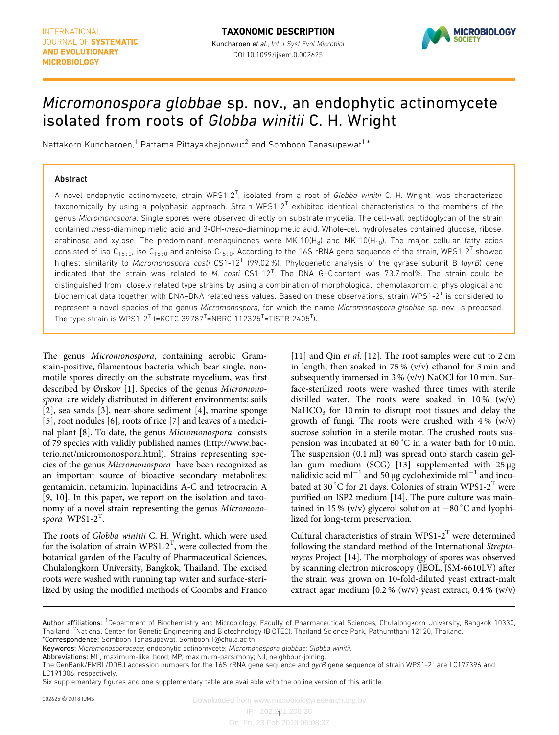

# Micromonospora globbae sp. nov., an endophytic actinomycete isolated from roots of Globba winitii C. H. Wright

Nattakorn Kuncharoen,<sup>1</sup> Pattama Pittayakhajonwut<sup>2</sup> and Somboon Tanasupawat<sup>1,\*</sup>

### Abstract

A novel endophytic actinomycete, strain WPS1-2<sup>T</sup>, isolated from a root of Globba winitii C. H. Wright, was characterized taxonomically by using a polyphasic approach. Strain WPS1-2<sup>T</sup> exhibited identical characteristics to the members of the genus [Micromonospora](https://doi.org/10.1601/nm.6519). Single spores were observed directly on substrate mycelia. The cell-wall peptidoglycan of the strain contained meso-diaminopimelic acid and 3-OH-meso-diaminopimelic acid. Whole-cell hydrolysates contained glucose, ribose, arabinose and xylose. The predominant menaquinones were  $MK-10(H<sub>8</sub>)$  and  $MK-10(H<sub>10</sub>)$ . The major cellular fatty acids consisted of iso-C<sub>15:0</sub>, iso-C<sub>16:0</sub> and anteiso-C<sub>15:0</sub>. According to the 16S rRNA gene sequence of the strain, WPS1-2<sup>T</sup> showed highest similarity to [Micromonospora](https://doi.org/10.1601/nm.6519) costi CS1-12<sup>T</sup> (99.02%). Phylogenetic analysis of the gyrase subunit B (gyrB) gene indicated that the strain was related to [M.](https://doi.org/10.1601/nm.6519) costi  $CS1-12^T$ . The DNA G+C content was 73.7 mol%. The strain could be distinguished from closely related type strains by using a combination of morphological, chemotaxonomic, physiological and biochemical data together with DNA–DNA relatedness values. Based on these observations, strain WPS1-2<sup>T</sup> is considered to represent a novel species of the genus [Micromonospora](https://doi.org/10.1601/nm.6519), for which the name Micromonospora globbae sp. nov. is proposed. The type strain is WPS1-2<sup>T</sup> (=KCTC 39787<sup>T</sup>=NBRC 112325<sup>T</sup>=TISTR 2405<sup>T</sup>).

The genus [Micromonospora](https://doi.org/10.1601/nm.6519), containing aerobic Gramstain-positive, filamentous bacteria which bear single, nonmotile spores directly on the substrate mycelium, was first described by Ørskov [\[1](#page-3-0)]. Species of the genus [Micromono](https://doi.org/10.1601/nm.6519)[spora](https://doi.org/10.1601/nm.6519) are widely distributed in different environments: soils [[2](#page-3-0)], sea sands [\[3](#page-3-0)], near-shore sediment [[4\]](#page-3-0), marine sponge [[5](#page-3-0)], root nodules [\[6](#page-4-0)], roots of rice [[7](#page-4-0)] and leaves of a medicinal plant [[8\]](#page-4-0). To date, the genus [Micromonospora](https://doi.org/10.1601/nm.6519) consists of 79 species with validly published names ([http://www.bac](http://www.bacterio.net/micromonospora.html)[terio.net/micromonospora.html\)](http://www.bacterio.net/micromonospora.html). Strains representing species of the genus [Micromonospora](https://doi.org/10.1601/nm.6519) have been recognized as an important source of bioactive secondary metabolites: gentamicin, netamicin, lupinacidins A-C and tetrocracin A [[9, 10\]](#page-4-0). In this paper, we report on the isolation and taxonomy of a novel strain representing the genus [Micromono](https://doi.org/10.1601/nm.6519) $spora$  WPS1-2<sup>T</sup>.

The roots of Globba winitii C. H. Wright, which were used for the isolation of strain WPS1-2<sup>T</sup>, were collected from the botanical garden of the Faculty of Pharmaceutical Sciences, Chulalongkorn University, Bangkok, Thailand. The excised roots were washed with running tap water and surface-sterilized by using the modified methods of Coombs and Franco [\[11](#page-4-0)] and Qin *et al.* [[12](#page-4-0)]. The root samples were cut to 2 cm in length, then soaked in 75 % (v/v) ethanol for 3 min and subsequently immersed in 3 % (v/v) NaOCl for 10 min. Surface-sterilized roots were washed three times with sterile distilled water. The roots were soaked in  $10\%$  (w/v) NaHCO<sub>3</sub> for 10 min to disrupt root tissues and delay the growth of fungi. The roots were crushed with  $4\%$  (w/v) sucrose solution in a sterile motar. The crushed roots suspension was incubated at  $60^{\circ}$ C in a water bath for 10 min. The suspension (0.1 ml) was spread onto starch casein gel-lan gum medium (SCG) [[13](#page-4-0)] supplemented with  $25 \mu$ g nalidixic acid ml<sup>-1</sup> and 50 µg cycloheximide ml<sup>-1</sup> and incubated at 30 °C for 21 days. Colonies of strain WPS1-2<sup>T</sup> were purified on ISP2 medium [[14](#page-4-0)]. The pure culture was maintained in 15 % (v/v) glycerol solution at  $-80^{\circ}$ C and lyophilized for long-term preservation.

Cultural characteristics of strain WPS1-2<sup>T</sup> were determined following the standard method of the International Streptomyces Project [\[14\]](#page-4-0). The morphology of spores was observed by scanning electron microscopy (JEOL, JSM-6610LV) after the strain was grown on 10-fold-diluted yeast extract-malt extract agar medium  $[0.2 % (w/v)$  yeast extract, 0.4 %  $(w/v)$ 

Author affiliations: <sup>1</sup>Department of Biochemistry and Microbiology, Faculty of Pharmaceutical Sciences, Chulalongkorn University, Bangkok 10330, Thailand; <sup>2</sup>National Center for Genetic Engineering and Biotechnology (BIOTEC), Thailand Science Park, Pathumthani 12120, Thailand. \*Correspondence: Somboon Tanasupawat, Somboon.T@chula.ac.th

Keywords: Micromonosporaceae; endophytic actinomycete; Micromonospora globbae; Globba winitii.

Abbreviations: ML, maximum-likelihood; MP, maximum-parsimony; NJ, neighbour-joining.

The GenBank/EMBL/DDBJ accession numbers for the 16S rRNA gene sequence and gyrB gene sequence of strain WPS1-2<sup>T</sup> are LC177396 and LC191306, respectively.

Six supplementary figures and one supplementary table are available with the online version of this article.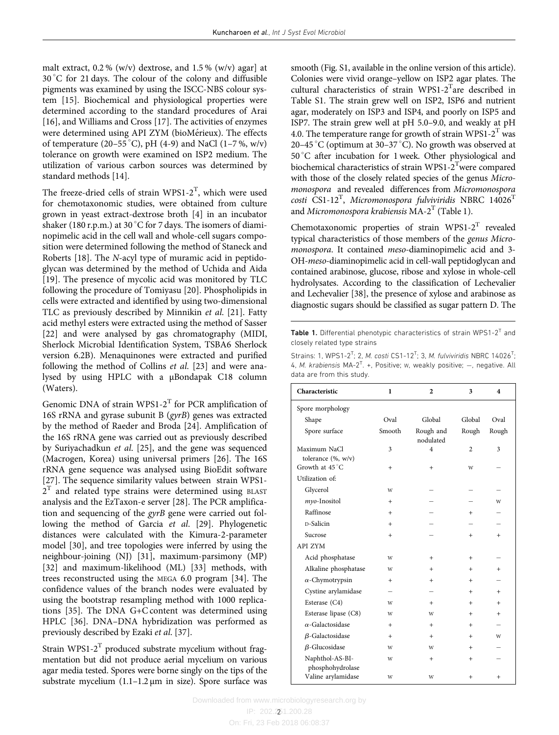<span id="page-1-0"></span>malt extract,  $0.2\%$  (w/v) dextrose, and  $1.5\%$  (w/v) agar] at 30 C for 21 days. The colour of the colony and diffusible pigments was examined by using the ISCC-NBS colour system [\[15\]](#page-4-0). Biochemical and physiological properties were determined according to the standard procedures of Arai [[16](#page-4-0)], and Williams and Cross [\[17](#page-4-0)]. The activities of enzymes were determined using API ZYM (bioMérieux). The effects of temperature (20–55 °C), pH (4-9) and NaCl (1–7 %, w/v) tolerance on growth were examined on ISP2 medium. The utilization of various carbon sources was determined by standard methods [[14](#page-4-0)].

The freeze-dried cells of strain WPS1-2<sup>T</sup>, which were used for chemotaxonomic studies, were obtained from culture grown in yeast extract-dextrose broth [[4\]](#page-3-0) in an incubator shaker (180 r.p.m.) at 30 °C for 7 days. The isomers of diaminopimelic acid in the cell wall and whole-cell sugars composition were determined following the method of Staneck and Roberts [\[18](#page-4-0)]. The N-acyl type of muramic acid in peptidoglycan was determined by the method of Uchida and Aida [[19](#page-4-0)]. The presence of mycolic acid was monitored by TLC following the procedure of Tomiyasu [\[20\]](#page-4-0). Phospholipids in cells were extracted and identified by using two-dimensional TLC as previously described by Minnikin et al. [\[21](#page-4-0)]. Fatty acid methyl esters were extracted using the method of Sasser [[22](#page-4-0)] and were analysed by gas chromatography (MIDI, Sherlock Microbial Identification System, TSBA6 Sherlock version 6.2B). Menaquinones were extracted and purified following the method of Collins et al. [[23](#page-4-0)] and were analysed by using HPLC with a µBondapak C18 column (Waters).

Genomic DNA of strain WPS1-2<sup>T</sup> for PCR amplification of 16S rRNA and gyrase subunit B (gyrB) genes was extracted by the method of Raeder and Broda [\[24](#page-4-0)]. Amplification of the 16S rRNA gene was carried out as previously described by Suriyachadkun et al. [\[25\]](#page-4-0), and the gene was sequenced (Macrogen, Korea) using universal primers [\[26\]](#page-4-0). The 16S rRNA gene sequence was analysed using BioEdit software [[27](#page-4-0)]. The sequence similarity values between strain WPS1-  $2<sup>T</sup>$  and related type strains were determined using BLAST analysis and the EzTaxon-e server [\[28\]](#page-4-0). The PCR amplification and sequencing of the gyrB gene were carried out following the method of Garcia et al. [\[29\]](#page-4-0). Phylogenetic distances were calculated with the Kimura-2-parameter model [\[30\]](#page-4-0), and tree topologies were inferred by using the neighbour-joining (NJ) [[31](#page-4-0)], maximum-parsimony (MP) [[32](#page-4-0)] and maximum-likelihood (ML) [[33](#page-4-0)] methods, with trees reconstructed using the MEGA 6.0 program [[34](#page-4-0)]. The confidence values of the branch nodes were evaluated by using the bootstrap resampling method with 1000 replications [[35](#page-4-0)]. The DNA G+C content was determined using HPLC [[36](#page-4-0)]. DNA–DNA hybridization was performed as previously described by Ezaki et al. [\[37](#page-4-0)].

Strain WPS1-2 $^T$  produced substrate mycelium without fragmentation but did not produce aerial mycelium on various agar media tested. Spores were borne singly on the tips of the substrate mycelium (1.1–1.2 µm in size). Spore surface was

smooth (Fig. S1, available in the online version of this article). Colonies were vivid orange–yellow on ISP2 agar plates. The cultural characteristics of strain WPS1-2<sup>T</sup>are described in Table S1. The strain grew well on ISP2, ISP6 and nutrient agar, moderately on ISP3 and ISP4, and poorly on ISP5 and ISP7. The strain grew well at pH 5.0–9.0, and weakly at pH 4.0. The temperature range for growth of strain WPS1- $2<sup>T</sup>$  was 20–45 °C (optimum at 30–37 °C). No growth was observed at 50 C after incubation for 1 week. Other physiological and biochemical characteristics of strain WPS1- $2<sup>T</sup>$ were compared with those of the closely related species of the genus [Micro](https://doi.org/10.1601/nm.6519)[monospora](https://doi.org/10.1601/nm.6519) and revealed differences from [Micromonospora](https://doi.org/10.1601/nm.6519)  $costi$  CS1-12<sup>T</sup>, [Micromonospora](https://doi.org/10.1601/nm.6519) fulviviridis NBRC 14026<sup>T</sup> and [Micromonospora](https://doi.org/10.1601/nm.6519) krabiensis  $MA-2<sup>T</sup>$  (Table 1).

Chemotaxonomic properties of strain WPS1-2 $^T$  revealed typical characteristics of those members of the genus [Micro](https://doi.org/10.1601/nm.6519)[monospora](https://doi.org/10.1601/nm.6519). It contained meso-diaminopimelic acid and 3- OH-meso-diaminopimelic acid in cell-wall peptidoglycan and contained arabinose, glucose, ribose and xylose in whole-cell hydrolysates. According to the classification of Lechevalier and Lechevalier [\[38\]](#page-4-0), the presence of xylose and arabinose as diagnostic sugars should be classified as sugar pattern D. The

Table 1. Differential phenotypic characteristics of strain WPS1-2<sup>T</sup> and closely related type strains

Strains: 1, WPS1-2<sup>T</sup>; 2, M. costi CS1-12<sup>T</sup>; 3, M. fulviviridis NBRC 14026<sup>T</sup>; 4, M. krabiensis  $MA-2^{T}$ . +, Positive; w, weakly positive;  $-$ , negative. All data are from this study.

| Characteristic                      | 1         | $\overline{2}$         | 3              | 4      |
|-------------------------------------|-----------|------------------------|----------------|--------|
| Spore morphology                    |           |                        |                |        |
| Shape                               | Oval      | Global<br>Global       |                | Oval   |
| Spore surface                       | Smooth    | Rough and<br>nodulated | Rough          |        |
| Maximum NaCl<br>tolerance (%, w/v)  | 3         | $\overline{4}$         | $\overline{2}$ | 3      |
| Growth at 45 °C                     | $\ddot{}$ | $\ddot{}$              | W              |        |
| Utilization of:                     |           |                        |                |        |
| Glycerol                            | W         |                        |                |        |
| myo-Inositol                        | $\ddot{}$ |                        |                | W      |
| Raffinose                           | $^{+}$    |                        | $^{+}$         |        |
| D-Salicin                           | $\ddot{}$ |                        |                |        |
| Sucrose                             | $\ddot{}$ |                        | $+$            | $+$    |
| <b>API ZYM</b>                      |           |                        |                |        |
| Acid phosphatase                    | W         | $^+$                   | $^{+}$         |        |
| Alkaline phosphatase                | W         | $\ddot{}$              | $^{+}$         | $^{+}$ |
| $\alpha$ -Chymotrypsin              | $^{+}$    | $^{+}$                 | $+$            |        |
| Cystine arylamidase                 |           |                        | $+$            | $+$    |
| Esterase (C4)                       | W         | $^{+}$                 | $^{+}$         | $^{+}$ |
| Esterase lipase (C8)                | W         | W                      | $+$            | $+$    |
| $\alpha$ -Galactosidase             | $\ddot{}$ | $\ddot{}$              | $^{+}$         |        |
| $\beta$ -Galactosidase              | $^{+}$    | $^{+}$                 | $+$            | W      |
| $\beta$ -Glucosidase                | W         | W                      | $+$            |        |
| Naphthol-AS-BI-<br>phosphohydrolase | W         | $\ddot{}$              | $+$            |        |
| Valine arylamidase                  | W         | W                      | $\ddot{}$      | $^{+}$ |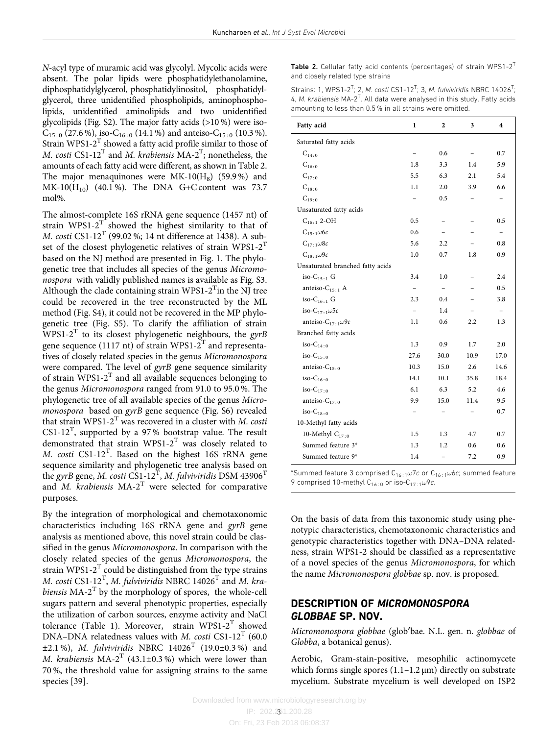N-acyl type of muramic acid was glycolyl. Mycolic acids were absent. The polar lipids were phosphatidylethanolamine, diphosphatidylglycerol, phosphatidylinositol, phosphatidylglycerol, three unidentified phospholipids, aminophospholipids, unidentified aminolipids and two unidentified glycolipids (Fig. S2). The major fatty acids (>10 %) were iso- $C_{15:0}$  (27.6 %), iso- $C_{16:0}$  (14.1 %) and anteiso- $C_{15:0}$  (10.3 %). Strain WPS1-2 $^T$  showed a fatty acid profile similar to those of *M. costi* CS1-12<sup>T</sup> and *M. krabiensis* MA-2<sup>T</sup>; nonetheless, the amounts of each fatty acid were different, as shown in Table 2. The major menaquinones were  $MK-10(H_8)$  (59.9%) and  $MK-10(H_{10})$  (40.1%). The DNA G+C content was 73.7 mol%.

The almost-complete 16S rRNA gene sequence (1457 nt) of strain WPS1-2 $T$  showed the highest similarity to that of *M. costi* CS1-12<sup>T</sup> (99.02 %; 14 nt difference at 1438). A subset of the closest phylogenetic relatives of strain WPS1- $2^T$ based on the NJ method are presented in [Fig. 1](#page-3-0). The phylogenetic tree that includes all species of the genus [Micromo](https://doi.org/10.1601/nm.6519)[nospora](https://doi.org/10.1601/nm.6519) with validly published names is available as Fig. S3. Although the clade containing strain WPS1-2 $^{\mathrm{T}}$ in the NJ tree could be recovered in the tree reconstructed by the ML method (Fig. S4), it could not be recovered in the MP phylogenetic tree (Fig. S5). To clarify the affiliation of strain WPS1-2<sup>T</sup> to its closest phylogenetic neighbours, the gyrB gene sequence (1117 nt) of strain WPS1- $2^T$  and representatives of closely related species in the genus [Micromonospora](https://doi.org/10.1601/nm.6519) were compared. The level of gyrB gene sequence similarity of strain  $WPS1-2<sup>T</sup>$  and all available sequences belonging to the genus [Micromonospora](https://doi.org/10.1601/nm.6519) ranged from 91.0 to 95.0 %. The phylogenetic tree of all available species of the genus [Micro](https://doi.org/10.1601/nm.6519)[monospora](https://doi.org/10.1601/nm.6519) based on gyrB gene sequence (Fig. S6) revealed that strain WPS1-2<sup>T</sup> was recovered in a cluster with *M. costi*  $CS1-12^{T}$ , supported by a 97% bootstrap value. The result demonstrated that strain WPS1-2<sup>T</sup> was closely related to M. costi  $CS1-12^T$ . Based on the highest 16S rRNA gene sequence similarity and phylogenetic tree analysis based on the gyrB gene, M. costi CS1-12<sup>T</sup>, M. fulviviridis DSM 43906<sup>T</sup> and  $M$ . krabiensis MA-2<sup>T</sup> were selected for comparative purposes.

By the integration of morphological and chemotaxonomic characteristics including 16S rRNA gene and gyrB gene analysis as mentioned above, this novel strain could be clas-sified in the genus [Micromonospora](https://doi.org/10.1601/nm.6519). In comparison with the closely related species of the genus Micromonospora, the strain WPS1-2<sup>T</sup> could be distinguished from the type strains M. costi  $\text{CS1-12}^\text{T}$ , M. fulviviridis NBRC 14026 $^\text{T}$  and M. krabiensis  $MA-2<sup>T</sup>$  by the morphology of spores, the whole-cell sugars pattern and several phenotypic properties, especially the utilization of carbon sources, enzyme activity and NaCl tolerance [\(Table 1](#page-1-0)). Moreover, strain WPS1-2<sup>T</sup> showed DNA–DNA relatedness values with *M. costi* CS1-12<sup>T</sup> (60.0)  $\pm 2.1$  %), *M. fulviviridis* NBRC 14026<sup>T</sup> (19.0 $\pm$ 0.3 %) and M. krabiensis  $MA-2^{T}$  (43.1±0.3%) which were lower than 70 %, the threshold value for assigning strains to the same species [[39](#page-4-0)].

Table 2. Cellular fatty acid contents (percentages) of strain WPS1-2 $<sup>T</sup>$ </sup> and closely related type strains

Strains: 1, WPS1-2<sup>T</sup>; 2, M. costi CS1-12<sup>T</sup>; 3, M. fulviviridis NBRC 14026<sup>T</sup>; 4, M. krabiensis MA-2<sup>T</sup>. All data were analysed in this study. Fatty acids amounting to less than 0.5 % in all strains were omitted.

| Fatty acid                        | 1    | 2    | 3    | $\overline{\mathbf{4}}$ |
|-----------------------------------|------|------|------|-------------------------|
| Saturated fatty acids             |      |      |      |                         |
| $C_{14:0}$                        |      | 0.6  |      | 0.7                     |
| $C_{16:0}$                        | 1.8  | 3.3  | 1.4  | 5.9                     |
| $C_{17:0}$                        | 5.5  | 6.3  | 2.1  | 5.4                     |
| $C_{18:0}$                        | 1.1  | 2.0  | 3.9  | 6.6                     |
| $C_{19:0}$                        |      | 0.5  |      |                         |
| Unsaturated fatty acids           |      |      |      |                         |
| $C_{16:1}$ 2-OH                   | 0.5  |      |      | 0.5                     |
| $C_{15.1}\omega$ 6c               | 0.6  |      |      |                         |
| $C_{17+1}\omega$ 8c               | 5.6  | 2.2  |      | 0.8                     |
| $C_{18.1}\omega$ 9c               | 1.0  | 0.7  | 1.8  | 0.9                     |
| Unsaturated branched fatty acids  |      |      |      |                         |
| iso- $C_{15+1}$ G                 | 3.4  | 1.0  |      | 2.4                     |
| anteiso- $C_{15+1}$ A             |      |      |      | 0.5                     |
| iso- $C_{16+1}$ G                 | 2.3  | 0.4  |      | 3.8                     |
| iso-C <sub>17:1</sub> $\omega$ 5c |      | 1.4  |      |                         |
| anteiso- $C_{17:1}\omega$ 9c      | 1.1  | 0.6  | 2.2  | 1.3                     |
| Branched fatty acids              |      |      |      |                         |
| iso- $C_{14+0}$                   | 1.3  | 0.9  | 1.7  | 2.0                     |
| iso- $C_{15+0}$                   | 27.6 | 30.0 | 10.9 | 17.0                    |
| anteiso- $C_{15:0}$               | 10.3 | 15.0 | 2.6  | 14.6                    |
| iso- $C_{16:0}$                   | 14.1 | 10.1 | 35.8 | 18.4                    |
| $iso-C_{17.0}$                    | 6.1  | 6.3  | 5.2  | 4.6                     |
| anteiso- $C_{17}$ .               | 9.9  | 15.0 | 11.4 | 9.5                     |
| $iso-C_{18.0}$                    |      |      |      | 0.7                     |
| 10-Methyl fatty acids             |      |      |      |                         |
| 10-Methyl $C_{17:0}$              | 1.5  | 1.3  | 4.7  | 0.7                     |
| Summed feature 3*                 | 1.3  | 1.2  | 0.6  | 0.6                     |
| Summed feature 9*                 | 1.4  |      | 7.2  | 0.9                     |

\*Summed feature 3 comprised  $C_{16:1}\omega$ 7c or  $C_{16:1}\omega$ 6c; summed feature 9 comprised 10-methyl  $C_{16:0}$  or iso- $C_{17:1}\omega$ 9c.

On the basis of data from this taxonomic study using phenotypic characteristics, chemotaxonomic characteristics and genotypic characteristics together with DNA–DNA relatedness, strain WPS1-2 should be classified as a representative of a novel species of the genus [Micromonospora](https://doi.org/10.1601/nm.6519), for which the name [Micromonospora](https://doi.org/10.1601/nm.6519) globbae sp. nov. is proposed.

## DESCRIPTION OF MICROMONOSPORA GLOBBAE SP. NOV.

[Micromonospora](https://doi.org/10.1601/nm.6519) globbae (glob'bae. N.L. gen. n. globbae of Globba, a botanical genus).

Aerobic, Gram-stain-positive, mesophilic actinomycete which forms single spores  $(1.1-1.2 \,\mu m)$  directly on substrate mycelium. Substrate mycelium is well developed on ISP2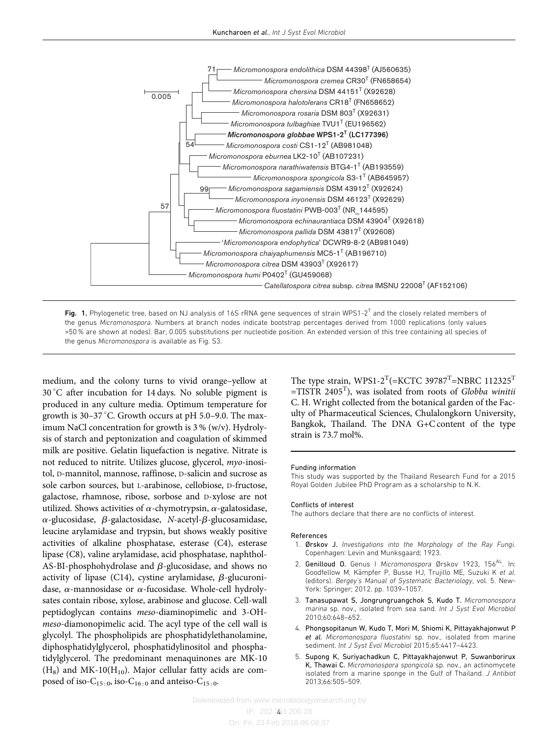<span id="page-3-0"></span>

Fig. 1. Phylogenetic tree, based on NJ analysis of 16S rRNA gene sequences of strain WPS1-2<sup>T</sup> and the closely related members of the genus [Micromonospora](https://doi.org/10.1601/nm.6519). Numbers at branch nodes indicate bootstrap percentages derived from 1000 replications (only values >50 % are shown at nodes). Bar, 0.005 substitutions per nucleotide position. An extended version of this tree containing all species of the genus [Micromonospora](https://doi.org/10.1601/nm.6519) is available as Fig. S3.

medium, and the colony turns to vivid orange–yellow at  $30^{\circ}$ C after incubation for 14 days. No soluble pigment is produced in any culture media. Optimum temperature for growth is  $30-37$  °C. Growth occurs at pH 5.0–9.0. The maximum NaCl concentration for growth is 3 % (w/v). Hydrolysis of starch and peptonization and coagulation of skimmed milk are positive. Gelatin liquefaction is negative. Nitrate is not reduced to nitrite. Utilizes glucose, glycerol, myo-inositol, D-mannitol, mannose, raffinose, D-salicin and sucrose as sole carbon sources, but L-arabinose, cellobiose, D-fructose, galactose, rhamnose, ribose, sorbose and D-xylose are not utilized. Shows activities of  $\alpha$ -chymotrypsin,  $\alpha$ -galatosidase,  $\alpha$ -glucosidase,  $\beta$ -galactosidase, N-acetyl- $\beta$ -glucosamidase, leucine arylamidase and trypsin, but shows weakly positive activities of alkaline phosphatase, esterase (C4), esterase lipase (C8), valine arylamidase, acid phosphatase, naphthol-AS-BI-phosphohydrolase and  $\beta$ -glucosidase, and shows no activity of lipase (C14), cystine arylamidase,  $\beta$ -glucuronidase,  $\alpha$ -mannosidase or  $\alpha$ -fucosidase. Whole-cell hydrolysates contain ribose, xylose, arabinose and glucose. Cell-wall peptidoglycan contains meso-diaminopimelic and 3-OHmeso-diamonopimelic acid. The acyl type of the cell wall is glycolyl. The phospholipids are phosphatidylethanolamine, diphosphatidylglycerol, phosphatidylinositol and phosphatidylglycerol. The predominant menaquinones are MK-10  $(H_8)$  and MK-10( $H_{10}$ ). Major cellular fatty acids are composed of iso- $C_{15:0}$ , iso- $C_{16:0}$  and anteiso- $C_{15:0}$ .

The type strain,  $WPS1-2^{T}$ (=KCTC 39787<sup>T</sup>=NBRC 112325<sup>T</sup>  $=$ TISTR 2405<sup>T</sup>), was isolated from roots of Globba winitii C. H. Wright collected from the botanical garden of the Faculty of Pharmaceutical Sciences, Chulalongkorn University, Bangkok, Thailand. The DNA G+C content of the type strain is 73.7 mol%.

#### Funding information

This study was supported by the Thailand Research Fund for a 2015 Royal Golden Jubilee PhD Program as a scholarship to N. K.

#### Conflicts of interest

The authors declare that there are no conflicts of interest.

#### References

- 1. Ørskov J. Investigations into the Morphology of the Ray Fungi. Copenhagen: Levin and Munksgaard; 1923.
- 2. Genilloud O. Genus I Micromonospora Ørskov 1923, 156<sup>AL</sup>. In: Goodfellow M, Kämpfer P, Busse HJ, Trujillo ME, Suzuki K et al. (editors). Bergey's Manual of Systematic Bacteriology, vol. 5. New-York: Springer; 2012. pp. 1039–1057.
- 3. Tanasupawat S, Jongrungruangchok S, Kudo T. Micromonospora marina sp. nov., isolated from sea sand. Int J Syst Evol Microbiol 2010;60:648–652.
- 4. Phongsopitanun W, Kudo T, Mori M, Shiomi K, Pittayakhajonwut P et al. Micromonospora fluostatini sp. nov., isolated from marine sediment. Int J Syst Evol Microbiol 2015;65:4417–4423.
- 5. Supong K, Suriyachadkun C, Pittayakhajonwut P, Suwanborirux K, Thawai C. Micromonospora spongicola sp. nov., an actinomycete isolated from a marine sponge in the Gulf of Thailand. J Antibiot 2013;66:505–509.

IP: 202.251.200.28 4On: Fri, 23 Feb 2018 06:08:37